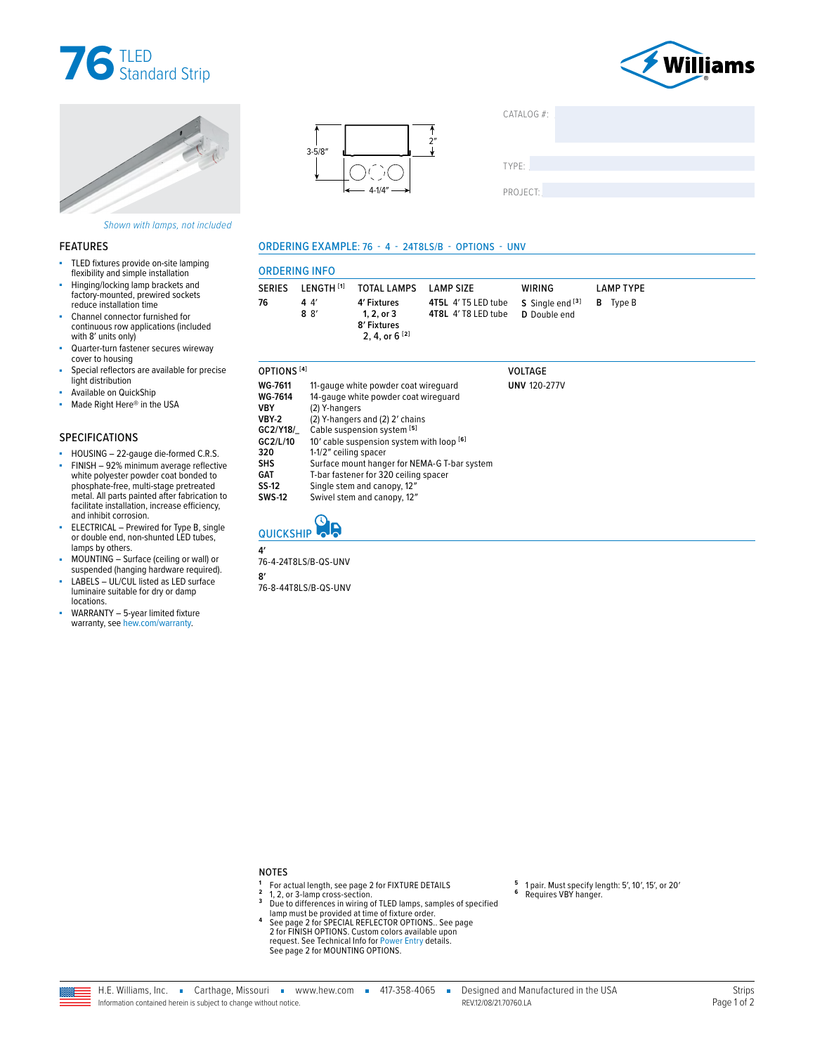





Shown with lamps, not included

#### **FEATURES**

- ×. TLED fixtures provide on-site lamping flexibility and simple installation
- Hinging/locking lamp brackets and factory-mounted, prewired sockets reduce installation time
- Channel connector furnished for continuous row applications (included with 8' units only)
- Quarter-turn fastener secures wireway cover to housing
- Special reflectors are available for precise light distribution
- Available on QuickShip Made Right Here® in the USA ä,

### **SPECIFICATIONS**

- HOUSING 22-gauge die-formed C.R.S.
- FINISH 92% minimum average reflective à, white polyester powder coat bonded to<br>phosphate-free, multi-stage pretreated metal. All parts painted after fabrication to facilitate installation, increase efficiency, and inhibit corrosion.
- ELECTRICAL Prewired for Type B, single<br>or double end, non-shunted LED tubes, lamps by others.
- MOUNTING Surface (ceiling or wall) or
- MOONTING Suitable Internet Celling<br>LABELS UL/CUL listed as LED surface<br>luminaire suitable for dry or damp ×. locations.
- WARRANTY 5-year limited fixture × warranty, see hew.com/warranty.





### ORDERING EXAMPLE: 76 - 4 - 24T8LS/B - OPTIONS - UNV

| <b>ORDERING INFO</b> |                                 |                                                                                        |                                                                                                    |        |                  |  |  |  |  |
|----------------------|---------------------------------|----------------------------------------------------------------------------------------|----------------------------------------------------------------------------------------------------|--------|------------------|--|--|--|--|
| <b>SERIES</b><br>76  | I FNGTH [1]<br>4 4<br>$8 \, 8'$ | TOTAL LAMPS LAMP SIZE<br>4' Fixtures<br>1.2. or 3<br>8' Fixtures<br>2. 4. or $6^{[2]}$ | <b>4T5L</b> 4' T5 LED tube $S$ Single end $[3]$ <b>B</b> Type B<br>4T8L 4'T8 LED tube D Double end | WIRING | <b>LAMP TYPE</b> |  |  |  |  |

| OPTIONS <sup>[4]</sup>                                                                                                      |                                                                                                                                                                                                                                                                                                                                                               | <b>VOLTAGE</b>      |
|-----------------------------------------------------------------------------------------------------------------------------|---------------------------------------------------------------------------------------------------------------------------------------------------------------------------------------------------------------------------------------------------------------------------------------------------------------------------------------------------------------|---------------------|
| <b>WG-7611</b><br><b>WG-7614</b><br><b>VBY</b><br>VBY-2<br>GC2/Y18/<br>GC2/L/10<br>320<br><b>SHS</b><br><b>GAT</b><br>SS-12 | 11-gauge white powder coat wirequard<br>14-gauge white powder coat wirequard<br>(2) Y-hangers<br>(2) Y-hangers and (2) 2' chains<br>Cable suspension system [5]<br>10' cable suspension system with loop [6]<br>1-1/2" ceiling spacer<br>Surface mount hanger for NEMA-G T-bar system<br>T-bar fastener for 320 ceiling spacer<br>Single stem and canopy, 12" | <b>UNV 120-277V</b> |
| <b>SWS-12</b>                                                                                                               | Swivel stem and canopy, 12"                                                                                                                                                                                                                                                                                                                                   |                     |



76-4-24T8LS/B-QS-UNV

 $\mathbf{R}'$ 76-8-44T8LS/B-QS-UNV

 $\mathbf{A}'$ 

**NOTES** 

- For actual length, see page 2 for FIXTURE DETAILS
- $\overline{\mathbf{3}}$
- $\overline{4}$
- For actual length, see page 2 for FIATORE DETAILS<br>1,2, or 3-lamp cross-section.<br>Due to differences in wiring of TLED lamps, samples of specified<br>lamp must be provided at time of fixture order.<br>See page 2 for SPECIAL REFLEC request. See Technical Info for Power Entry details.<br>See page 2 for MOUNTING OPTIONS.
- 1 pair. Must specify length: 5', 10', 15', or 20'  $6\overline{6}$ Requires VBY hanger.
- H.E. Williams, Inc. Carthage, Missouri vww.hew.com 417-358-4065 -Designed and Manufactured in the USA REV12/08/21 70760 LA Information contained herein is subject to change without notice.